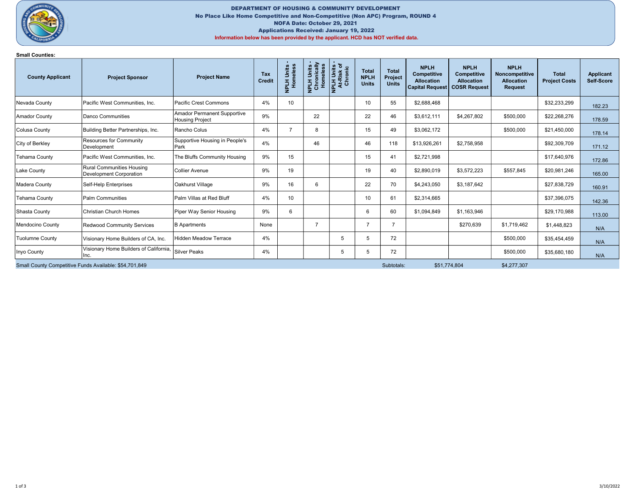

## DEPARTMENT OF HOUSING & COMMUNITY DEVELOPMENT No Place Like Home Competitive and Non-Competitive (Non APC) Program, ROUND 4 NOFA Date: October 29, 2021 Applications Received: January 19, 2022 Information below has been provided by the applicant. HCD has NOT verified data.

## Small Counties:

| <b>County Applicant</b>                                | <b>Project Sponsor</b>                                             | <b>Project Name</b>                                          | Tax<br><b>Credit</b> | NPLH Units -<br>Homeless | nically<br>leless<br>NPLH Units<br>Chronically<br>$\frac{5}{2}$ | <b>NPLH Units -<br/>At-Risk of</b><br>Chronic | <b>Total</b><br><b>NPLH</b><br><b>Units</b> | <b>Total</b><br>Project<br><b>Units</b> | <b>NPLH</b><br><b>Competitive</b><br><b>Allocation</b><br><b>Capital Request</b> | <b>NPLH</b><br>Competitive<br><b>Allocation</b><br><b>COSR Request</b> | <b>NPLH</b><br>Noncompetitive<br><b>Allocation</b><br><b>Request</b> | <b>Total</b><br><b>Project Costs</b> | Applicant<br>Self-Score |
|--------------------------------------------------------|--------------------------------------------------------------------|--------------------------------------------------------------|----------------------|--------------------------|-----------------------------------------------------------------|-----------------------------------------------|---------------------------------------------|-----------------------------------------|----------------------------------------------------------------------------------|------------------------------------------------------------------------|----------------------------------------------------------------------|--------------------------------------|-------------------------|
| Nevada County                                          | Pacific West Communities, Inc.                                     | <b>Pacific Crest Commons</b>                                 | 4%                   | 10                       |                                                                 |                                               | 10                                          | 55                                      | \$2,688,468                                                                      |                                                                        |                                                                      | \$32,233,299                         | 182.23                  |
| Amador County                                          | Danco Communities                                                  | <b>Amador Permanent Supportive</b><br><b>Housing Project</b> | 9%                   |                          | 22                                                              |                                               | 22                                          | 46                                      | \$3,612,111                                                                      | \$4,267,802                                                            | \$500,000                                                            | \$22,268,276                         | 178.59                  |
| Colusa County                                          | Building Better Partnerships, Inc.                                 | Rancho Colus                                                 | 4%                   | $\overline{7}$           | 8                                                               |                                               | 15                                          | 49                                      | \$3,062,172                                                                      |                                                                        | \$500,000                                                            | \$21,450,000                         | 178.14                  |
| City of Berkley                                        | <b>Resources for Community</b><br>Development                      | Supportive Housing in People's<br><b>IPark</b>               | 4%                   |                          | 46                                                              |                                               | 46                                          | 118                                     | \$13,926,261                                                                     | \$2,758,958                                                            |                                                                      | \$92,309,709                         | 171.12                  |
| <b>Tehama County</b>                                   | Pacific West Communities, Inc.                                     | The Bluffs Community Housing                                 | 9%                   | 15                       |                                                                 |                                               | 15                                          | 41                                      | \$2,721,998                                                                      |                                                                        |                                                                      | \$17,640,976                         | 172.86                  |
| Lake County                                            | <b>Rural Communities Housing</b><br><b>Development Corporation</b> | <b>Collier Avenue</b>                                        | 9%                   | 19                       |                                                                 |                                               | 19                                          | 40                                      | \$2,890,019                                                                      | \$3,572,223                                                            | \$557,845                                                            | \$20,981,246                         | 165.00                  |
| Madera County                                          | Self-Help Enterprises                                              | Oakhurst Village                                             | 9%                   | 16                       | 6                                                               |                                               | 22                                          | 70                                      | \$4,243,050                                                                      | \$3,187,642                                                            |                                                                      | \$27,838,729                         | 160.91                  |
| <b>Tehama County</b>                                   | <b>Palm Communities</b>                                            | Palm Villas at Red Bluff                                     | 4%                   | 10                       |                                                                 |                                               | 10                                          | 61                                      | \$2,314,665                                                                      |                                                                        |                                                                      | \$37,396,075                         | 142.36                  |
| Shasta County                                          | Christian Church Homes                                             | Piper Way Senior Housing                                     | 9%                   | 6                        |                                                                 |                                               | 6                                           | 60                                      | \$1,094,849                                                                      | \$1,163,946                                                            |                                                                      | \$29,170,988                         | 113.00                  |
| Mendocino County                                       | <b>Redwood Community Services</b>                                  | <b>B</b> Apartments                                          | None                 |                          |                                                                 |                                               |                                             |                                         |                                                                                  | \$270,639                                                              | \$1,719,462                                                          | \$1,448,823                          | N/A                     |
| <b>Tuolumne County</b>                                 | Visionary Home Builders of CA, Inc.                                | Hidden Meadow Terrace                                        | 4%                   |                          |                                                                 | 5                                             | 5                                           | 72                                      |                                                                                  |                                                                        | \$500,000                                                            | \$35,454,459                         | N/A                     |
| Inyo County                                            | Visionary Home Builders of California,<br>Inc.                     | Silver Peaks                                                 | 4%                   |                          |                                                                 | 5                                             | 5                                           | 72                                      |                                                                                  |                                                                        | \$500,000                                                            | \$35,680,180                         | N/A                     |
| Small County Competitive Funds Available: \$54,701,849 |                                                                    |                                                              |                      |                          |                                                                 |                                               |                                             | Subtotals:                              |                                                                                  | \$51,774,804                                                           | \$4,277,307                                                          |                                      |                         |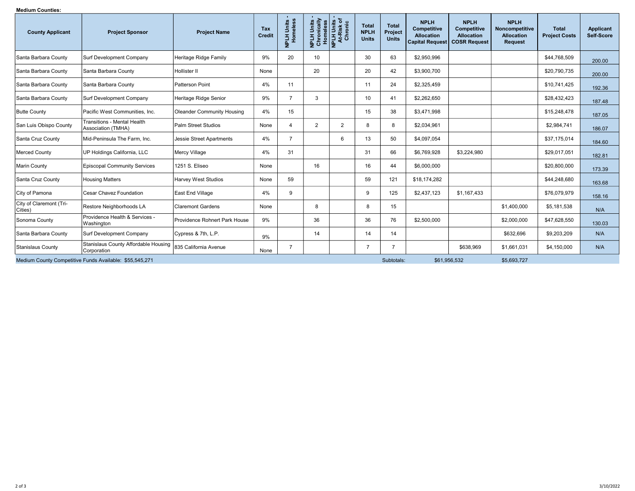## Medium Counties:

| meululii vuullites.<br><b>County Applicant</b>          | <b>Project Sponsor</b>                                   | <b>Project Name</b>               | Tax<br><b>Credit</b> | NPLH Units -<br>Homeless | Units<br><b>HTdM</b> | Chronically<br>Homeless<br>NPLH Units -<br>At-Risk of<br>Chronic | <b>Total</b><br><b>NPLH</b><br><b>Units</b> | <b>Total</b><br>Project<br><b>Units</b> | <b>NPLH</b><br><b>Competitive</b><br><b>Allocation</b><br><b>Capital Request</b> | <b>NPLH</b><br>Competitive<br><b>Allocation</b><br><b>COSR Request</b> | <b>NPLH</b><br>Noncompetitive<br><b>Allocation</b><br><b>Request</b> | <b>Total</b><br><b>Project Costs</b> | Applicant<br>Self-Score |
|---------------------------------------------------------|----------------------------------------------------------|-----------------------------------|----------------------|--------------------------|----------------------|------------------------------------------------------------------|---------------------------------------------|-----------------------------------------|----------------------------------------------------------------------------------|------------------------------------------------------------------------|----------------------------------------------------------------------|--------------------------------------|-------------------------|
| Santa Barbara County                                    | Surf Development Company                                 | Heritage Ridge Family             | 9%                   | 20                       | 10                   |                                                                  | 30                                          | 63                                      | \$2,950,996                                                                      |                                                                        |                                                                      | \$44,768,509                         | 200.00                  |
| Santa Barbara County                                    | Santa Barbara County                                     | Hollister II                      | None                 |                          | 20                   |                                                                  | 20                                          | 42                                      | \$3,900,700                                                                      |                                                                        |                                                                      | \$20,790,735                         | 200.00                  |
| Santa Barbara County                                    | Santa Barbara County                                     | Patterson Point                   | 4%                   | 11                       |                      |                                                                  | 11                                          | 24                                      | \$2,325,459                                                                      |                                                                        |                                                                      | \$10,741,425                         | 192.36                  |
| Santa Barbara County                                    | Surf Development Company                                 | Heritage Ridge Senior             | 9%                   | $\overline{7}$           | 3                    |                                                                  | 10 <sup>10</sup>                            | 41                                      | \$2,262,650                                                                      |                                                                        |                                                                      | \$28,432,423                         | 187.48                  |
| <b>Butte County</b>                                     | Pacific West Communities, Inc.                           | <b>Oleander Community Housing</b> | 4%                   | 15                       |                      |                                                                  | 15                                          | 38                                      | \$3,471,998                                                                      |                                                                        |                                                                      | \$15,248,478                         | 187.05                  |
| San Luis Obispo County                                  | <b>Transitions - Mental Health</b><br>Association (TMHA) | Palm Street Studios               | None                 | $\overline{4}$           | 2                    | 2                                                                | 8                                           | 8                                       | \$2,034,961                                                                      |                                                                        |                                                                      | \$2,984,741                          | 186.07                  |
| Santa Cruz County                                       | Mid-Peninsula The Farm, Inc.                             | Jessie Street Apartments          | 4%                   | $\overline{7}$           |                      | 6                                                                | 13                                          | 50                                      | \$4,097,054                                                                      |                                                                        |                                                                      | \$37,175,014                         | 184.60                  |
| Merced County                                           | UP Holdings California, LLC                              | Mercy Village                     | 4%                   | 31                       |                      |                                                                  | 31                                          | 66                                      | \$6,769,928                                                                      | \$3,224,980                                                            |                                                                      | \$29,017,051                         | 182.81                  |
| Marin County                                            | <b>Episcopal Community Services</b>                      | 1251 S. Eliseo                    | None                 |                          | 16                   |                                                                  | 16                                          | 44                                      | \$6,000,000                                                                      |                                                                        |                                                                      | \$20,800,000                         | 173.39                  |
| Santa Cruz County                                       | <b>Housing Matters</b>                                   | <b>Harvey West Studios</b>        | None                 | 59                       |                      |                                                                  | 59                                          | 121                                     | \$18,174,282                                                                     |                                                                        |                                                                      | \$44,248,680                         | 163.68                  |
| City of Pamona                                          | Cesar Chavez Foundation                                  | East End Village                  | 4%                   | 9                        |                      |                                                                  | 9                                           | 125                                     | \$2,437,123                                                                      | \$1,167,433                                                            |                                                                      | \$76,079,979                         | 158.16                  |
| City of Claremont (Tri-<br>Cities)                      | Restore Neighborhoods LA                                 | <b>Claremont Gardens</b>          | None                 |                          | 8                    |                                                                  | 8                                           | 15                                      |                                                                                  |                                                                        | \$1,400,000                                                          | \$5,181,538                          | N/A                     |
| Sonoma County                                           | Providence Health & Services -<br>Washington             | Providence Rohnert Park House     | 9%                   |                          | 36                   |                                                                  | 36                                          | 76                                      | \$2,500,000                                                                      |                                                                        | \$2,000,000                                                          | \$47,628,550                         | 130.03                  |
| Santa Barbara County                                    | Surf Development Company                                 | Cypress & 7th, L.P.               | 9%                   |                          | 14                   |                                                                  | 14                                          | 14                                      |                                                                                  |                                                                        | \$632,696                                                            | \$9,203,209                          | N/A                     |
| Stanislaus County                                       | Stanislaus County Affordable Housing<br>Corporation      | 835 California Avenue             | None                 | $\overline{7}$           |                      |                                                                  | $\overline{7}$                              |                                         |                                                                                  | \$638,969                                                              | \$1,661,031                                                          | \$4,150,000                          | N/A                     |
| Medium County Competitive Funds Available: \$55,545,271 |                                                          |                                   |                      |                          |                      |                                                                  |                                             | Subtotals:                              |                                                                                  | \$61,956,532                                                           | \$5,693,727                                                          |                                      |                         |